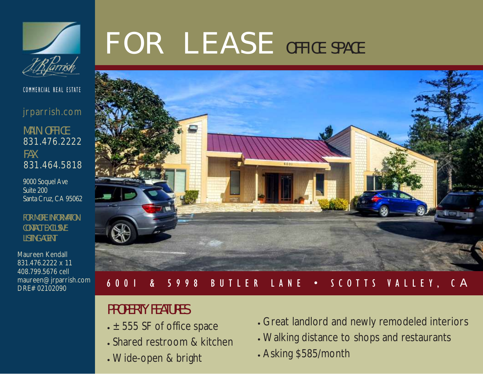

COMMERCIAL REAL ESTATE

jrparrish.com

MAIN OFFICE 831.476.2222 FAX 831.464.5818

9000 Soquel Ave Suite 200 Santa Cruz, CA 95062

FOR MORE INFORMATION CONTACT EXCLUSIVE LISTING AGENT

Maureen Kendall 831.476.2222 x 11 408.799.5676 cell maureen@jrparrish.com DRE# 02102090

# F O R L E A S E OFFICE SPACE



#### 6 0 0 1 & 5 9 9 8 B U T L E R L A N E • S C O T T S V A L L E Y , C A

## PROPERTY FEATURES

- $\cdot$   $\pm$  555 SF of office space
- Shared restroom & kitchen
- Wide-open & bright
- Great landlord and newly remodeled interiors
- Walking distance to shops and restaurants
- Asking \$585/month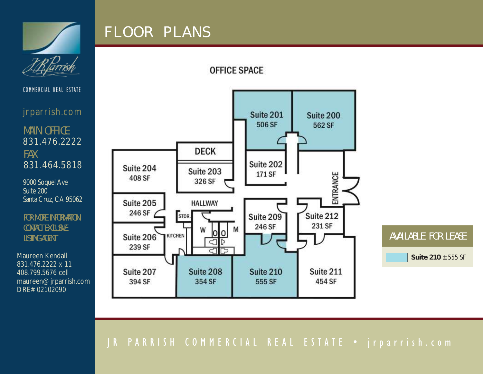

# F L O O R P L A N S

#### **OFFICE SPACE**



jrparrish.com

MAIN OFFICE 831.476.2222 FAX 831.464.5818

9000 Soquel Ave Suite 200 Santa Cruz, CA 95062

FOR MORE INFORMATION CONTACT EXCLUSIVE LISTING AGENT

831.476.2222 x 11 408.799.5676 cell maureen@jrparrish.com DRE# 02102090



### J R P A R R I S H C O M M E R C I A L R E A L E S T A T E • j r p a r r i s h . c o m